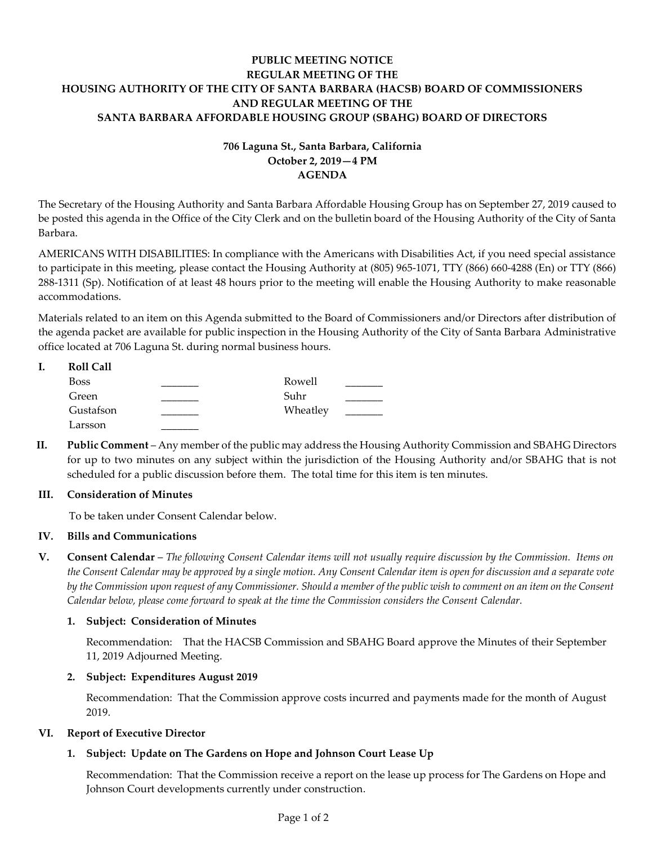## **PUBLIC MEETING NOTICE REGULAR MEETING OF THE HOUSING AUTHORITY OF THE CITY OF SANTA BARBARA (HACSB) BOARD OF COMMISSIONERS AND REGULAR MEETING OF THE SANTA BARBARA AFFORDABLE HOUSING GROUP (SBAHG) BOARD OF DIRECTORS**

# **706 Laguna St., Santa Barbara, California October 2, 2019—4 PM AGENDA**

The Secretary of the Housing Authority and Santa Barbara Affordable Housing Group has on September 27, 2019 caused to be posted this agenda in the Office of the City Clerk and on the bulletin board of the Housing Authority of the City of Santa Barbara.

AMERICANS WITH DISABILITIES: In compliance with the Americans with Disabilities Act, if you need special assistance to participate in this meeting, please contact the Housing Authority at (805) 965-1071, TTY (866) 660-4288 (En) or TTY (866) 288-1311 (Sp). Notification of at least 48 hours prior to the meeting will enable the Housing Authority to make reasonable accommodations.

Materials related to an item on this Agenda submitted to the Board of Commissioners and/or Directors after distribution of the agenda packet are available for public inspection in the Housing Authority of the City of Santa Barbara Administrative office located at 706 Laguna St. during normal business hours.

| Roll Call   |          |
|-------------|----------|
| <b>Boss</b> | Rowell   |
| Green       | Suhr     |
| Gustafson   | Wheatley |
| Larsson     |          |

**II. Public Comment** – Any member of the public may address the Housing Authority Commission and SBAHG Directors for up to two minutes on any subject within the jurisdiction of the Housing Authority and/or SBAHG that is not scheduled for a public discussion before them. The total time for this item is ten minutes.

### **III. Consideration of Minutes**

To be taken under Consent Calendar below.

## **IV. Bills and Communications**

**V. Consent Calendar** – *The following Consent Calendar items will not usually require discussion by the Commission. Items on the Consent Calendar may be approved by a single motion. Any Consent Calendar item is open for discussion and a separate vote by the Commission upon request of any Commissioner. Should a member of the public wish to comment on an item on the Consent Calendar below, please come forward to speak at the time the Commission considers the Consent Calendar.*

## **1. Subject: Consideration of Minutes**

[Recommendation: That the HACSB Commission and SBAHG Board approve the Minutes of their September](https://hacsb.org/download/meetings_2019/items/10_october/Item-V.1.pdf)  11, 2019 Adjourned Meeting.

### **2. Subject: Expenditures August 2019**

[Recommendation: That the Commission approve costs incurred and payments made for the month of August](https://hacsb.org/download/meetings_2019/items/10_october/Item-V.2.pdf) 2019.

### **VI. Report of Executive Director**

## **1. Subject: Update on The Gardens on Hope and Johnson Court Lease Up**

[Recommendation: That the Commission receive a report on the lease up process for](https://hacsb.org/download/meetings_2019/items/10_october/Item-VI.1.pdf) The Gardens on Hope and Johnson Court developments currently under construction.